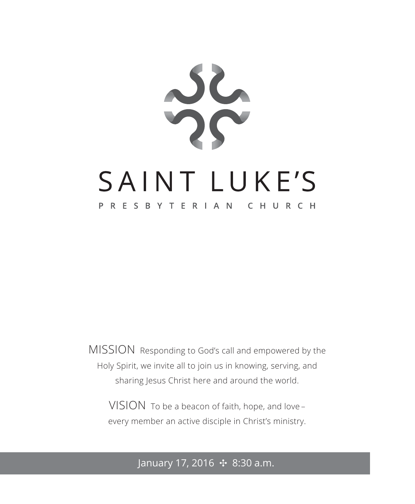

MISSION Responding to God's call and empowered by the Holy Spirit, we invite all to join us in knowing, serving, and sharing Jesus Christ here and around the world.

VISION To be a beacon of faith, hope, and love – every member an active disciple in Christ's ministry.

#### January 17, 2016 ✣ 8:30 a.m.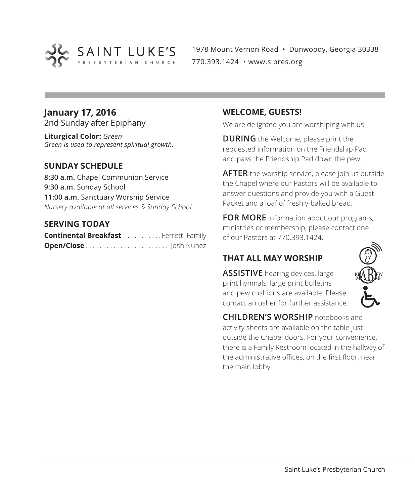

1978 Mount Vernon Road • Dunwoody, Georgia 30338 770.393.1424 • www.slpres.org

### **January 17, 2016**

2nd Sunday after Epiphany

**Liturgical Color:** *Green Green is used to represent spiritual growth.* 

#### **SUNDAY SCHEDULE**

**8:30 a.m.** Chapel Communion Service **9:30 a.m.** Sunday School **11:00 a.m.** Sanctuary Worship Service *Nursery available at all services & Sunday School*

#### **SERVING TODAY**

| <b>Continental Breakfast </b> Ferretti Family |  |  |
|-----------------------------------------------|--|--|
|                                               |  |  |

#### **WELCOME, GUESTS!**

We are delighted you are worshiping with us!

**DURING** the Welcome, please print the requested information on the Friendship Pad and pass the Friendship Pad down the pew.

**AFTER** the worship service, please join us outside the Chapel where our Pastors will be available to answer questions and provide you with a Guest Packet and a loaf of freshly-baked bread.

**FOR MORE** information about our programs, ministries or membership, please contact one of our Pastors at 770.393.1424.

#### **THAT ALL MAY WORSHIP**

**ASSISTIVE** hearing devices, large print hymnals, large print bulletins and pew cushions are available. Please contact an usher for further assistance.



**CHILDREN'S WORSHIP** notebooks and activity sheets are available on the table just outside the Chapel doors. For your convenience, there is a Family Restroom located in the hallway of the administrative offices, on the first floor, near the main lobby.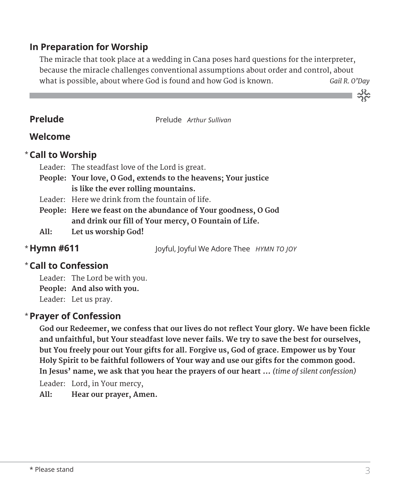#### **In Preparation for Worship**

 The miracle that took place at a wedding in Cana poses hard questions for the interpreter, because the miracle challenges conventional assumptions about order and control, about what is possible, about where God is found and how God is known. *Gail R. O'Day* 

**Prelude** Prelude *Arthur Sullivan* 

#### **Welcome**

#### **Call to Worship** \*

Leader: The steadfast love of the Lord is great.

- **People: Your love, O God, extends to the heavens; Your justice is like the ever rolling mountains.**
- Leader: Here we drink from the fountain of life.
- **People: Here we feast on the abundance of Your goodness, O God and drink our fill of Your mercy, O Fountain of Life.**
- **All: Let us worship God!**

\* Hymn #611

**Hymn #611** Joyful, Joyful We Adore Thee *HYMN TO JOY*

#### **Call to Confession**  \*

Leader: The Lord be with you. **People: And also with you.** Leader: Let us pray.

#### **Prayer of Confession**  \*

**God our Redeemer, we confess that our lives do not reflect Your glory. We have been fickle and unfaithful, but Your steadfast love never fails. We try to save the best for ourselves, but You freely pour out Your gifts for all. Forgive us, God of grace. Empower us by Your Holy Spirit to be faithful followers of Your way and use our gifts for the common good. In Jesus' name, we ask that you hear the prayers of our heart …** *(time of silent confession)*

Leader: Lord, in Your mercy,

**All: Hear our prayer, Amen.**

သိုင်္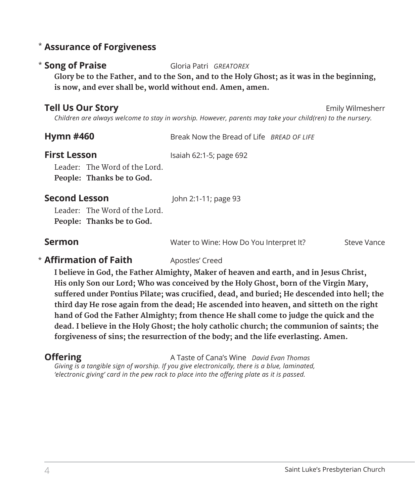#### **Assurance of Forgiveness** \*

#### \* Song of Praise

**Song of Praise** Gloria Patri *GREATOREX*

**Glory be to the Father, and to the Son, and to the Holy Ghost; as it was in the beginning, is now, and ever shall be, world without end. Amen, amen.**

#### **Tell Us Our Story Emily Wilmesherr Emily Wilmesherr**

*Children are always welcome to stay in worship. However, parents may take your child(ren) to the nursery.* 

| <b>Hymn #460</b> | Break Now the Bread of Life <i>BREAD OF LIFE</i> |  |
|------------------|--------------------------------------------------|--|
| Eirct Loccon     | $l$ caiah 62:1 E: nago 602                       |  |

**First Lesson** Isaiah 62:1-5; page 692

Leader: The Word of the Lord. **People: Thanks be to God.** 

#### **Second Lesson** John 2:1-11; page 93

Leader: The Word of the Lord. **People: Thanks be to God.**

**Sermon** Superson Water to Wine: How Do You Interpret It? Steve Vance

#### **\* Affirmation of Faith** Apostles' Creed

**I believe in God, the Father Almighty, Maker of heaven and earth, and in Jesus Christ, His only Son our Lord; Who was conceived by the Holy Ghost, born of the Virgin Mary, suffered under Pontius Pilate; was crucified, dead, and buried; He descended into hell; the third day He rose again from the dead; He ascended into heaven, and sitteth on the right hand of God the Father Almighty; from thence He shall come to judge the quick and the dead. I believe in the Holy Ghost; the holy catholic church; the communion of saints; the forgiveness of sins; the resurrection of the body; and the life everlasting. Amen.**

**Offering** A Taste of Cana's Wine *David Evan Thomas* 

*Giving is a tangible sign of worship. If you give electronically, there is a blue, laminated, 'electronic giving' card in the pew rack to place into the offering plate as it is passed.*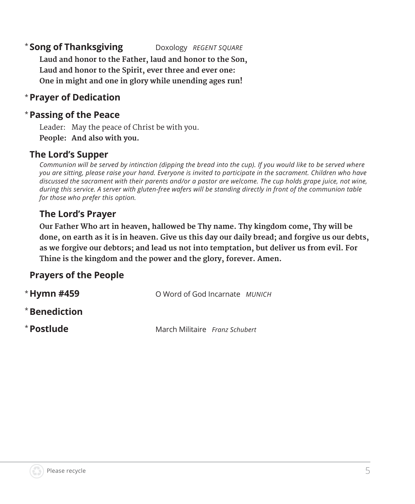### **Song of Thanksgiving** Doxology REGENT SQUARE

**Laud and honor to the Father, laud and honor to the Son, Laud and honor to the Spirit, ever three and ever one: One in might and one in glory while unending ages run!**

#### **Prayer of Dedication** \*

#### **Passing of the Peace** \*

Leader: May the peace of Christ be with you. **People: And also with you.**

#### **The Lord's Supper**

*Communion will be served by intinction (dipping the bread into the cup). If you would like to be served where you are sitting, please raise your hand. Everyone is invited to participate in the sacrament. Children who have discussed the sacrament with their parents and/or a pastor are welcome. The cup holds grape juice, not wine, during this service. A server with gluten-free wafers will be standing directly in front of the communion table for those who prefer this option.*

#### **The Lord's Prayer**

**Our Father Who art in heaven, hallowed be Thy name. Thy kingdom come, Thy will be done, on earth as it is in heaven. Give us this day our daily bread; and forgive us our debts, as we forgive our debtors; and lead us not into temptation, but deliver us from evil. For Thine is the kingdom and the power and the glory, forever. Amen.**

#### **Prayers of the People**

| * Hymn #459   | O Word of God Incarnate MUNICH |  |
|---------------|--------------------------------|--|
| * Benediction |                                |  |
| * Postlude    | March Militaire Franz Schubert |  |

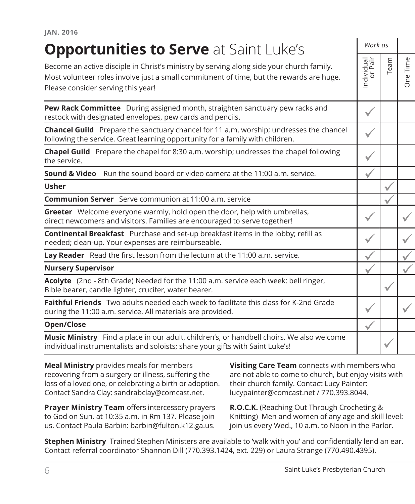| <b>Opportunities to Serve at Saint Luke's</b>                                                                                                                                                                             |                       | Work as |                                                           |  |
|---------------------------------------------------------------------------------------------------------------------------------------------------------------------------------------------------------------------------|-----------------------|---------|-----------------------------------------------------------|--|
| Become an active disciple in Christ's ministry by serving along side your church family.<br>Most volunteer roles involve just a small commitment of time, but the rewards are huge.<br>Please consider serving this year! | Individual<br>or Pair | Team    | Time<br>$\omega$<br>$\hskip10pt\square$<br>$\overline{O}$ |  |
| Pew Rack Committee During assigned month, straighten sanctuary pew racks and<br>restock with designated envelopes, pew cards and pencils.                                                                                 | $\checkmark$          |         |                                                           |  |
| Chancel Guild Prepare the sanctuary chancel for 11 a.m. worship; undresses the chancel<br>following the service. Great learning opportunity for a family with children.                                                   | ✓                     |         |                                                           |  |
| Chapel Guild Prepare the chapel for 8:30 a.m. worship; undresses the chapel following<br>the service.                                                                                                                     |                       |         |                                                           |  |
| <b>Sound &amp; Video</b> Run the sound board or video camera at the 11:00 a.m. service.                                                                                                                                   |                       |         |                                                           |  |
| <b>Usher</b>                                                                                                                                                                                                              |                       |         |                                                           |  |
| <b>Communion Server</b> Serve communion at 11:00 a.m. service                                                                                                                                                             |                       |         |                                                           |  |
| Greeter Welcome everyone warmly, hold open the door, help with umbrellas,<br>direct newcomers and visitors. Families are encouraged to serve together!                                                                    |                       |         |                                                           |  |
| Continental Breakfast Purchase and set-up breakfast items in the lobby; refill as<br>needed; clean-up. Your expenses are reimburseable.                                                                                   |                       |         |                                                           |  |
| Lay Reader Read the first lesson from the lecturn at the 11:00 a.m. service.                                                                                                                                              |                       |         |                                                           |  |
| <b>Nursery Supervisor</b>                                                                                                                                                                                                 |                       |         |                                                           |  |
| Acolyte (2nd - 8th Grade) Needed for the 11:00 a.m. service each week: bell ringer,<br>Bible bearer, candle lighter, crucifer, water bearer.                                                                              |                       |         |                                                           |  |
| <b>Faithful Friends</b> Two adults needed each week to facilitate this class for K-2nd Grade<br>during the 11:00 a.m. service. All materials are provided.                                                                | √                     |         |                                                           |  |
| Open/Close                                                                                                                                                                                                                |                       |         |                                                           |  |
| Music Ministry Find a place in our adult, children's, or handbell choirs. We also welcome<br>individual instrumentalists and soloists; share your gifts with Saint Luke's!                                                |                       |         |                                                           |  |
|                                                                                                                                                                                                                           |                       |         |                                                           |  |

**Meal Ministry** provides meals for members recovering from a surgery or illness, suffering the loss of a loved one, or celebrating a birth or adoption. Contact Sandra Clay: sandrabclay@comcast.net.

**Prayer Ministry Team** offers intercessory prayers to God on Sun. at 10:35 a.m. in Rm 137. Please join us. Contact Paula Barbin: barbin@fulton.k12.ga.us.

**Visiting Care Team** connects with members who are not able to come to church, but enjoy visits with their church family. Contact Lucy Painter: lucypainter@comcast.net / 770.393.8044.

**R.O.C.K.** (Reaching Out Through Crocheting & Knitting) Men and women of any age and skill level: join us every Wed., 10 a.m. to Noon in the Parlor.

**Stephen Ministry** Trained Stephen Ministers are available to 'walk with you' and confidentially lend an ear. Contact referral coordinator Shannon Dill (770.393.1424, ext. 229) or Laura Strange (770.490.4395).

**JAN. 2016**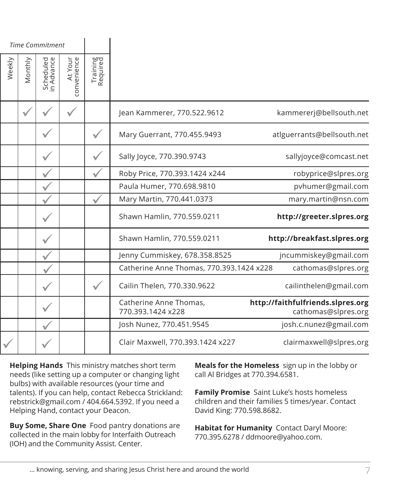|                                                                                                         |                      |                        | <b>Time Commitment</b>  |         |        |
|---------------------------------------------------------------------------------------------------------|----------------------|------------------------|-------------------------|---------|--------|
|                                                                                                         | Training<br>Required | At Your<br>convenience | Scheduled<br>in Advance | Monthly | Weekly |
| kammererj@bellsouth.net<br>Jean Kammerer, 770.522.9612                                                  |                      |                        |                         |         |        |
| atlguerrants@bellsouth.net<br>Mary Guerrant, 770.455.9493                                               |                      |                        |                         |         |        |
| sallyjoyce@comcast.net<br>Sally Joyce, 770.390.9743                                                     |                      |                        |                         |         |        |
| robyprice@slpres.org<br>Roby Price, 770.393.1424 x244                                                   |                      |                        |                         |         |        |
| pvhumer@gmail.com<br>Paula Humer, 770.698.9810                                                          |                      |                        |                         |         |        |
| Mary Martin, 770.441.0373<br>mary.martin@nsn.com                                                        |                      |                        |                         |         |        |
| Shawn Hamlin, 770.559.0211<br>http://greeter.slpres.org                                                 |                      |                        |                         |         |        |
| Shawn Hamlin, 770.559.0211<br>http://breakfast.slpres.org                                               |                      |                        |                         |         |        |
| jncummiskey@gmail.com<br>Jenny Cummiskey, 678.358.8525                                                  |                      |                        |                         |         |        |
| Catherine Anne Thomas, 770.393.1424 x228<br>cathomas@slpres.org                                         |                      |                        |                         |         |        |
| Cailin Thelen, 770.330.9622<br>cailinthelen@gmail.com                                                   |                      |                        |                         |         |        |
| Catherine Anne Thomas,<br>http://faithfulfriends.slpres.org<br>770.393.1424 x228<br>cathomas@slpres.org |                      |                        |                         |         |        |
| Josh Nunez, 770.451.9545<br>josh.c.nunez@gmail.com                                                      |                      |                        |                         |         |        |
| clairmaxwell@slpres.org<br>Clair Maxwell, 770.393.1424 x227                                             |                      |                        |                         |         |        |
|                                                                                                         |                      |                        |                         |         |        |

**Helping Hands** This ministry matches short term needs (like setting up a computer or changing light bulbs) with available resources (your time and talents). If you can help, contact Rebecca Strickland: rebstrick@gmail.com / 404.664.5392. If you need a Helping Hand, contact your Deacon.

**Buy Some, Share One** Food pantry donations are collected in the main lobby for Interfaith Outreach (IOH) and the Community Assist. Center.

**Meals for the Homeless** sign up in the lobby or call Al Bridges at 770.394.6581.

**Family Promise** Saint Luke's hosts homeless children and their families 5 times/year. Contact David King: 770.598.8682.

**Habitat for Humanity** Contact Daryl Moore: 770.395.6278 / ddmoore@yahoo.com.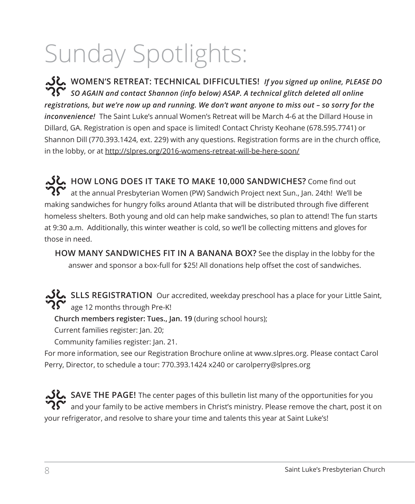# Sunday Spotlights:

**WOMEN'S RETREAT: TECHNICAL DIFFICULTIES!** *If you signed up online, PLEASE DO SO AGAIN and contact Shannon (info below) ASAP. A technical glitch deleted all online registrations, but we're now up and running. We don't want anyone to miss out – so sorry for the inconvenience!* The Saint Luke's annual Women's Retreat will be March 4-6 at the Dillard House in Dillard, GA. Registration is open and space is limited! Contact Christy Keohane (678.595.7741) or Shannon Dill (770.393.1424, ext. 229) with any questions. Registration forms are in the church office, in the lobby, or at http://slpres.org/2016-womens-retreat-will-be-here-soon/

**HOW LONG DOES IT TAKE TO MAKE 10,000 SANDWICHES?** Come find out  $\boldsymbol{R\Gamma}^{\bullet}$  at the annual Presbyterian Women (PW) Sandwich Project next Sun., Jan. 24th! We'll be making sandwiches for hungry folks around Atlanta that will be distributed through five different homeless shelters. Both young and old can help make sandwiches, so plan to attend! The fun starts at 9:30 a.m. Additionally, this winter weather is cold, so we'll be collecting mittens and gloves for those in need.

**HOW MANY SANDWICHES FIT IN A BANANA BOX?** See the display in the lobby for the answer and sponsor a box-full for \$25! All donations help offset the cost of sandwiches.

SLLS REGISTRATION Our accredited, weekday preschool has a place for your Little Saint, age 12 months through Pre-K!

**Church members register: Tues., Jan. 19** (during school hours);

Current families register: Jan. 20;

Community families register: Jan. 21.

For more information, see our Registration Brochure online at www.slpres.org. Please contact Carol Perry, Director, to schedule a tour: 770.393.1424 x240 or carolperry@slpres.org

**SAVE THE PAGE!** The center pages of this bulletin list many of the opportunities for you and your family to be active members in Christ's ministry. Please remove the chart, post it on your refrigerator, and resolve to share your time and talents this year at Saint Luke's!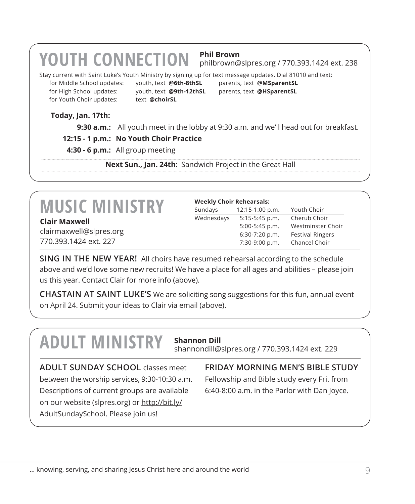## **YOUTH CONNECTION Phil Brown**

philbrown@slpres.org / 770.393.1424 ext. 238

Stay current with Saint Luke's Youth Ministry by signing up for text message updates. Dial 81010 and text:

for Youth Choir updates: text **@choirSL** 

for Middle School updates: youth, text **@6th-8thSL** parents, text **@MSparentSL** for High School updates: youth, text **@9th-12thSL** parents, text **@HSparentSL**

#### **Today, Jan. 17th:**

**9:30 a.m.:** All youth meet in the lobby at 9:30 a.m. and we'll head out for breakfast.

#### **12:15 - 1 p.m.: No Youth Choir Practice**

**4:30 - 6 p.m.:** All group meeting

**Next Sun., Jan. 24th:** Sandwich Project in the Great Hall

## **MUSIC MINISTRY Clair Maxwell**

clairmaxwell@slpres.org 770.393.1424 ext. 227

#### **Weekly Choir Rehearsals:**

| Sundays    | 12:15-1:00 p.m.  | Youth Choir             |
|------------|------------------|-------------------------|
| Wednesdays | 5:15-5:45 p.m.   | Cherub Choir            |
|            | 5:00-5:45 p.m.   | Westminster Choir       |
|            | $6:30-7:20$ p.m. | <b>Festival Ringers</b> |
|            | 7:30-9:00 p.m.   | Chancel Choir           |

**SING IN THE NEW YEAR!** All choirs have resumed rehearsal according to the schedule above and we'd love some new recruits! We have a place for all ages and abilities – please join us this year. Contact Clair for more info (above).

**CHASTAIN AT SAINT LUKE'S** We are soliciting song suggestions for this fun, annual event on April 24. Submit your ideas to Clair via email (above).

## **ADULT MINISTRY Shannon Dill**

shannondill@slpres.org / 770.393.1424 ext. 229

**ADULT SUNDAY SCHOOL** classes meet between the worship services, 9:30-10:30 a.m. Descriptions of current groups are available on our website (slpres.org) or http://bit.ly/ AdultSundaySchool. Please join us!

**FRIDAY MORNING MEN'S BIBLE STUDY**  Fellowship and Bible study every Fri. from 6:40-8:00 a.m. in the Parlor with Dan Joyce.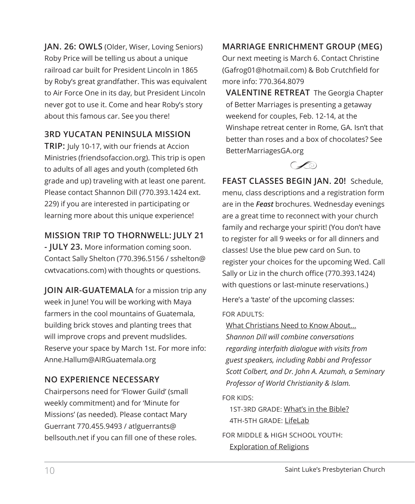**JAN. 26: OWLS** (Older, Wiser, Loving Seniors) Roby Price will be telling us about a unique railroad car built for President Lincoln in 1865 by Roby's great grandfather. This was equivalent to Air Force One in its day, but President Lincoln never got to use it. Come and hear Roby's story about this famous car. See you there!

#### **3RD YUCATAN PENINSULA MISSION**

**TRIP:** July 10-17, with our friends at Accion Ministries (friendsofaccion.org). This trip is open to adults of all ages and youth (completed 6th grade and up) traveling with at least one parent. Please contact Shannon Dill (770.393.1424 ext. 229) if you are interested in participating or learning more about this unique experience!

#### **MISSION TRIP TO THORNWELL: JULY 21**

**- JULY 23.** More information coming soon. Contact Sally Shelton (770.396.5156 / sshelton@ cwtvacations.com) with thoughts or questions.

**JOIN AIR-GUATEMALA** for a mission trip any week in June! You will be working with Maya farmers in the cool mountains of Guatemala, building brick stoves and planting trees that will improve crops and prevent mudslides. Reserve your space by March 1st. For more info: Anne.Hallum@AIRGuatemala.org

#### **NO EXPERIENCE NECESSARY**

Chairpersons need for 'Flower Guild' (small weekly commitment) and for 'Minute for Missions' (as needed). Please contact Mary Guerrant 770.455.9493 / atlguerrants@ bellsouth.net if you can fill one of these roles.

#### **MARRIAGE ENRICHMENT GROUP (MEG)**

Our next meeting is March 6. Contact Christine (Gafrog01@hotmail.com) & Bob Crutchfield for more info: 770.364.8079

**VALENTINE RETREAT** The Georgia Chapter of Better Marriages is presenting a getaway weekend for couples, Feb. 12-14, at the Winshape retreat center in Rome, GA. Isn't that better than roses and a box of chocolates? See BetterMarriagesGA.org



**FEAST CLASSES BEGIN JAN. 20!**  Schedule, menu, class descriptions and a registration form are in the *Feast* brochures. Wednesday evenings are a great time to reconnect with your church family and recharge your spirit! (You don't have to register for all 9 weeks or for all dinners and classes! Use the blue pew card on Sun. to register your choices for the upcoming Wed. Call Sally or Liz in the church office (770.393.1424) with questions or last-minute reservations.)

Here's a 'taste' of the upcoming classes:

#### FOR ADULTS:

What Christians Need to Know About... *Shannon Dill will combine conversations regarding interfaith dialogue with visits from guest speakers, including Rabbi and Professor Scott Colbert, and Dr. John A. Azumah, a Seminary Professor of World Christianity & Islam.* 

FOR KIDS:

1ST-3RD GRADE: What's in the Bible? 4TH-5TH GRADE: LifeLab

FOR MIDDLE & HIGH SCHOOL YOUTH: Exploration of Religions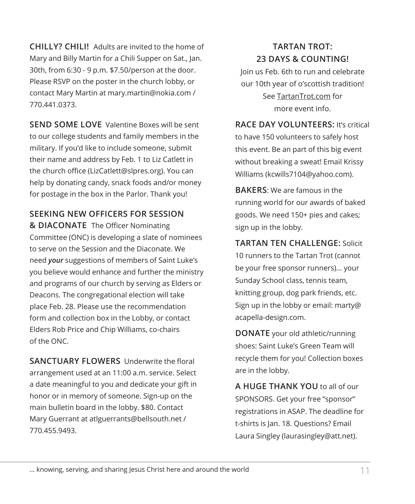**CHILLY? CHILI!** Adults are invited to the home of Mary and Billy Martin for a Chili Supper on Sat., Jan. 30th, from 6:30 - 9 p.m. \$7.50/person at the door. Please RSVP on the poster in the church lobby, or contact Mary Martin at mary.martin@nokia.com / 770.441.0373.

**SEND SOME LOVE** Valentine Boxes will be sent to our college students and family members in the military. If you'd like to include someone, submit their name and address by Feb. 1 to Liz Catlett in the church office (LizCatlett@slpres.org). You can help by donating candy, snack foods and/or money for postage in the box in the Parlor. Thank you!

#### **SEEKING NEW OFFICERS FOR SESSION**

**& DIACONATE** The Officer Nominating Committee (ONC) is developing a slate of nominees to serve on the Session and the Diaconate. We need *your* suggestions of members of Saint Luke's you believe would enhance and further the ministry and programs of our church by serving as Elders or Deacons. The congregational election will take place Feb. 28. Please use the recommendation form and collection box in the Lobby, or contact Elders Rob Price and Chip Williams, co-chairs of the ONC.

**SANCTUARY FLOWERS** Underwrite the floral arrangement used at an 11:00 a.m. service. Select a date meaningful to you and dedicate your gift in honor or in memory of someone. Sign-up on the main bulletin board in the lobby. \$80. Contact Mary Guerrant at atlguerrants@bellsouth.net / 770.455.9493.

#### **TARTAN TROT: 23 DAYS & COUNTING!**

Join us Feb. 6th to run and celebrate our 10th year of o'scottish tradition! See TartanTrot.com for more event info.

**RACE DAY VOLUNTEERS:** It's critical to have 150 volunteers to safely host this event. Be an part of this big event without breaking a sweat! Email Krissy Williams (kcwills7104@yahoo.com).

**BAKERS**: We are famous in the running world for our awards of baked goods. We need 150+ pies and cakes; sign up in the lobby.

**TARTAN TEN CHALLENGE:** Solicit 10 runners to the Tartan Trot (cannot be your free sponsor runners)... your Sunday School class, tennis team, knitting group, dog park friends, etc. Sign up in the lobby or email: marty@ acapella-design.com.

**DONATE** your old athletic/running shoes: Saint Luke's Green Team will recycle them for you! Collection boxes are in the lobby.

**A HUGE THANK YOU** to all of our SPONSORS. Get your free "sponsor" registrations in ASAP. The deadline for t-shirts is Jan. 18. Questions? Email Laura Singley (laurasingley@att.net).